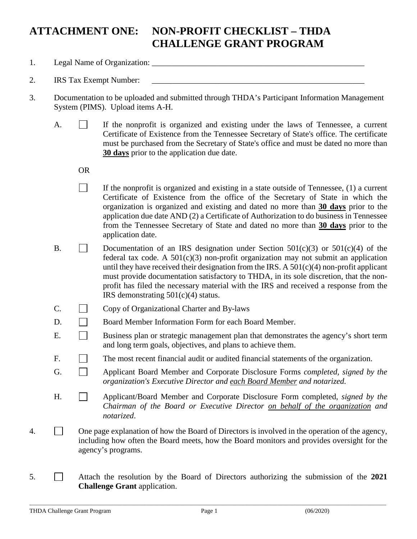## **ATTACHMENT ONE: NON-PROFIT CHECKLIST – THDA CHALLENGE GRANT PROGRAM**

- 1. Legal Name of Organization: \_\_\_\_\_\_\_\_\_\_\_\_\_\_\_\_\_\_\_\_\_\_\_\_\_\_\_\_\_\_\_\_\_\_\_\_\_\_\_\_\_\_\_\_\_\_\_\_\_\_\_\_
- 2. IRS Tax Exempt Number:
- 3. Documentation to be uploaded and submitted through THDA's Participant Information Management System (PIMS). Upload items A-H.
	- A.  $\Box$  If the nonprofit is organized and existing under the laws of Tennessee, a current Certificate of Existence from the Tennessee Secretary of State's office. The certificate must be purchased from the Secretary of State's office and must be dated no more than **30 days** prior to the application due date.

OR

- $\Box$ If the nonprofit is organized and existing in a state outside of Tennessee, (1) a current Certificate of Existence from the office of the Secretary of State in which the organization is organized and existing and dated no more than **30 days** prior to the application due date AND (2) a Certificate of Authorization to do business in Tennessee from the Tennessee Secretary of State and dated no more than **30 days** prior to the application date.
- B. Documentation of an IRS designation under Section  $501(c)(3)$  or  $501(c)(4)$  of the federal tax code. A  $501(c)(3)$  non-profit organization may not submit an application until they have received their designation from the IRS. A  $501(c)(4)$  non-profit applicant must provide documentation satisfactory to THDA, in its sole discretion, that the nonprofit has filed the necessary material with the IRS and received a response from the IRS demonstrating 501(c)(4) status.
- $C. \Box$  Copy of Organizational Charter and By-laws
- D. Board Member Information Form for each Board Member.
- E. Business plan or strategic management plan that demonstrates the agency's short term and long term goals, objectives, and plans to achieve them.
- F. The most recent financial audit or audited financial statements of the organization.
- G. Applicant Board Member and Corporate Disclosure Forms *completed, signed by the organization's Executive Director and each Board Member and notarized.*
- H. Applicant/Board Member and Corporate Disclosure Form completed, *signed by the Chairman of the Board or Executive Director on behalf of the organization and notarized*.
- 4.  $\Box$  One page explanation of how the Board of Directors is involved in the operation of the agency, including how often the Board meets, how the Board monitors and provides oversight for the agency's programs.
- 5. Attach the resolution by the Board of Directors authorizing the submission of the **2021 Challenge Grant** application.